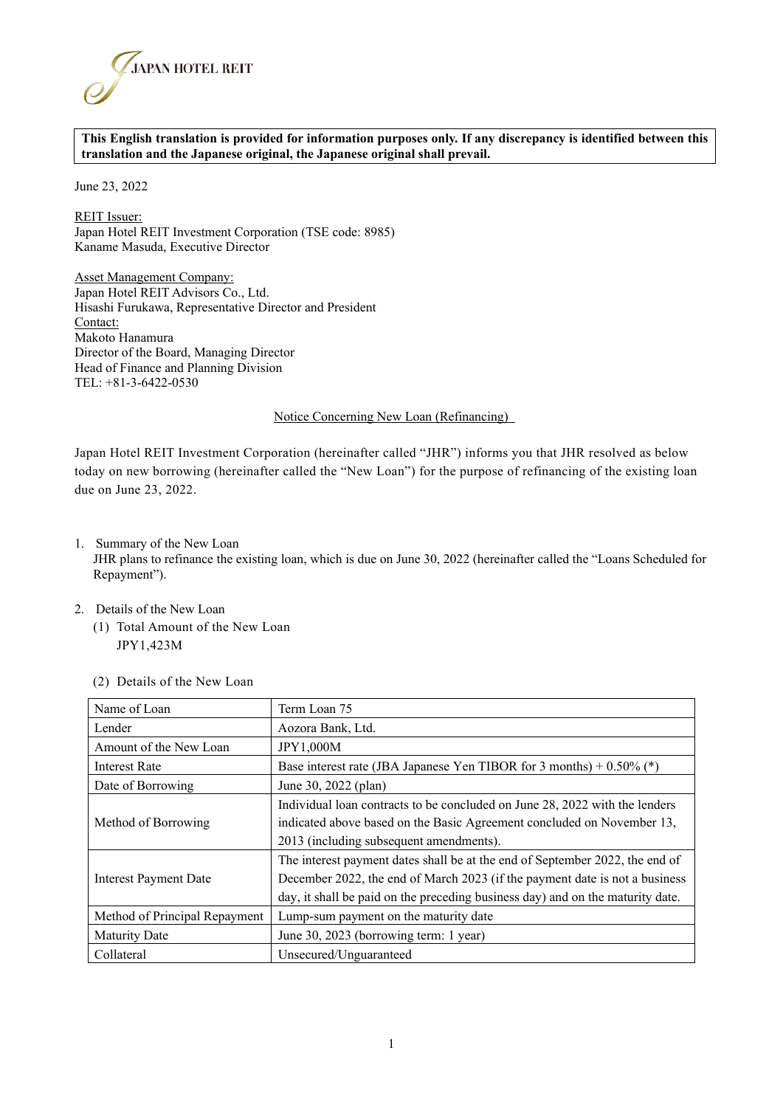

## **This English translation is provided for information purposes only. If any discrepancy is identified between this translation and the Japanese original, the Japanese original shall prevail.**

June 23, 2022

REIT Issuer: Japan Hotel REIT Investment Corporation (TSE code: 8985) Kaname Masuda, Executive Director

Asset Management Company: Japan Hotel REIT Advisors Co., Ltd. Hisashi Furukawa, Representative Director and President Contact: Makoto Hanamura Director of the Board, Managing Director Head of Finance and Planning Division TEL: +81-3-6422-0530

## Notice Concerning New Loan (Refinancing)

Japan Hotel REIT Investment Corporation (hereinafter called "JHR") informs you that JHR resolved as below today on new borrowing (hereinafter called the "New Loan") for the purpose of refinancing of the existing loan due on June 23, 2022.

1. Summary of the New Loan

JHR plans to refinance the existing loan, which is due on June 30, 2022 (hereinafter called the "Loans Scheduled for Repayment").

- 2. Details of the New Loan
	- (1) Total Amount of the New Loan JPY1,423M

| Name of Loan                  | Term Loan 75                                                                   |  |
|-------------------------------|--------------------------------------------------------------------------------|--|
| Lender                        | Aozora Bank, Ltd.                                                              |  |
| Amount of the New Loan        | <b>JPY1,000M</b>                                                               |  |
| <b>Interest Rate</b>          | Base interest rate (JBA Japanese Yen TIBOR for 3 months) + $0.50\%$ (*)        |  |
| Date of Borrowing             | June 30, 2022 (plan)                                                           |  |
| Method of Borrowing           | Individual loan contracts to be concluded on June 28, 2022 with the lenders    |  |
|                               | indicated above based on the Basic Agreement concluded on November 13,         |  |
|                               | 2013 (including subsequent amendments).                                        |  |
|                               | The interest payment dates shall be at the end of September 2022, the end of   |  |
| Interest Payment Date         | December 2022, the end of March 2023 (if the payment date is not a business    |  |
|                               | day, it shall be paid on the preceding business day) and on the maturity date. |  |
| Method of Principal Repayment | Lump-sum payment on the maturity date                                          |  |
| <b>Maturity Date</b>          | June 30, 2023 (borrowing term: 1 year)                                         |  |
| Collateral                    | Unsecured/Unguaranteed                                                         |  |

(2) Details of the New Loan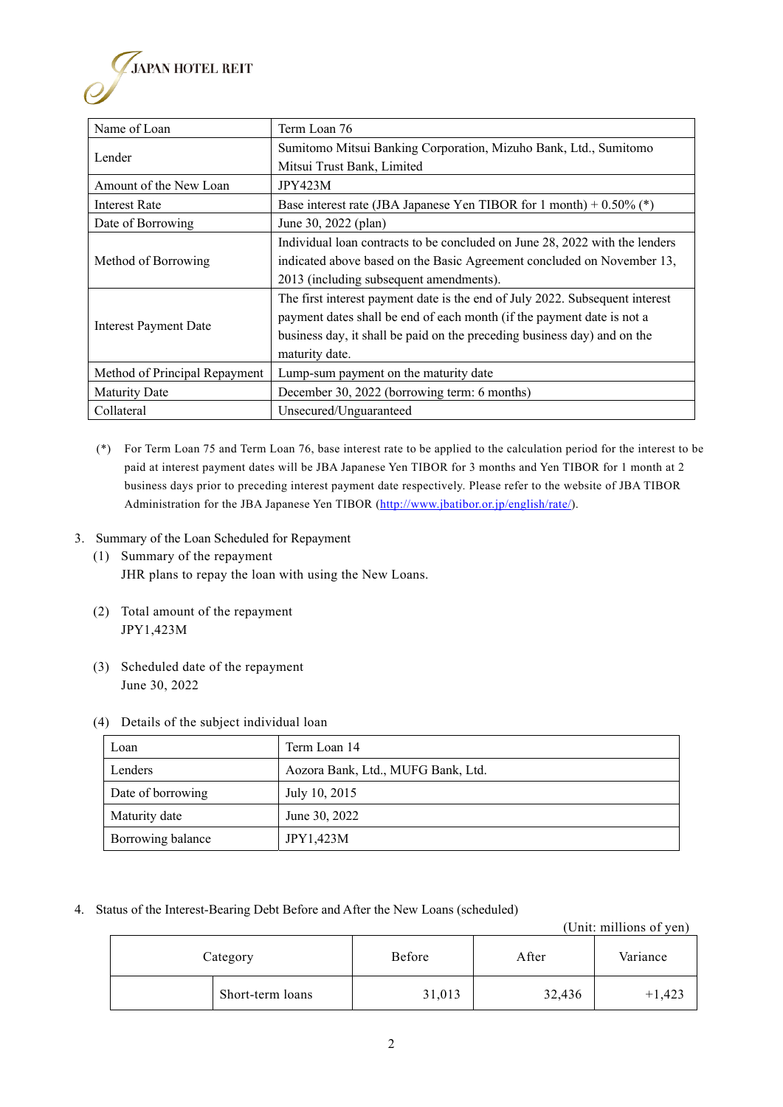

- (\*) For Term Loan 75 and Term Loan 76, base interest rate to be applied to the calculation period for the interest to be paid at interest payment dates will be JBA Japanese Yen TIBOR for 3 months and Yen TIBOR for 1 month at 2 business days prior to preceding interest payment date respectively. Please refer to the website of JBA TIBOR Administration for the JBA Japanese Yen TIBOR (http://www.jbatibor.or.jp/english/rate/).
- 3. Summary of the Loan Scheduled for Repayment
	- (1) Summary of the repayment JHR plans to repay the loan with using the New Loans.
	- (2) Total amount of the repayment JPY1,423M
	- (3) Scheduled date of the repayment June 30, 2022

## (4) Details of the subject individual loan

| Loan              | Term Loan 14                       |  |  |
|-------------------|------------------------------------|--|--|
| Lenders           | Aozora Bank, Ltd., MUFG Bank, Ltd. |  |  |
| Date of borrowing | July 10, 2015                      |  |  |
| Maturity date     | June 30, 2022                      |  |  |
| Borrowing balance | JPY1,423M                          |  |  |

4. Status of the Interest-Bearing Debt Before and After the New Loans (scheduled)

(Unit: millions of yen)

| Category |                  | Before | After  | Variance |
|----------|------------------|--------|--------|----------|
|          | Short-term loans | 31,013 | 32,436 | - 425    |